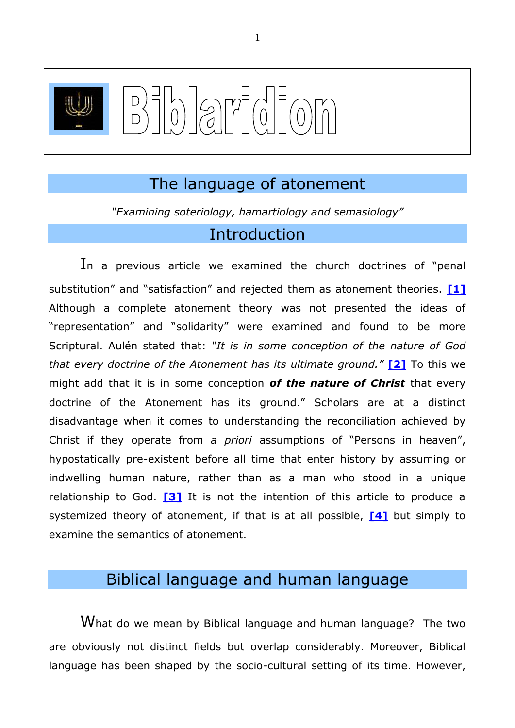

# The language of atonement

*"Examining soteriology, hamartiology and semasiology"*

## <span id="page-0-1"></span><span id="page-0-0"></span>Introduction

In a previous article we examined the church doctrines of "penal substitution" and "satisfaction" and rejected them as atonement theories. **[\[1\]](#page-22-0)** Although a complete atonement theory was not presented the ideas of "representation" and "solidarity" were examined and found to be more Scriptural. Aulén stated that: *"It is in some conception of the nature of God that every doctrine of the Atonement has its ultimate ground."* **[\[2\]](#page-22-1)** To this we might add that it is in some conception *of the nature of Christ* that every doctrine of the Atonement has its ground." Scholars are at a distinct disadvantage when it comes to understanding the reconciliation achieved by Christ if they operate from *a priori* assumptions of "Persons in heaven", hypostatically pre-existent before all time that enter history by assuming or indwelling human nature, rather than as a man who stood in a unique relationship to God. **[\[3\]](#page-23-0)** It is not the intention of this article to produce a systemized theory of atonement, if that is at all possible, **[\[4\]](#page-23-1)** but simply to examine the semantics of atonement.

# <span id="page-0-3"></span><span id="page-0-2"></span>Biblical language and human language

What do we mean by Biblical language and human language? The two are obviously not distinct fields but overlap considerably. Moreover, Biblical language has been shaped by the socio-cultural setting of its time. However,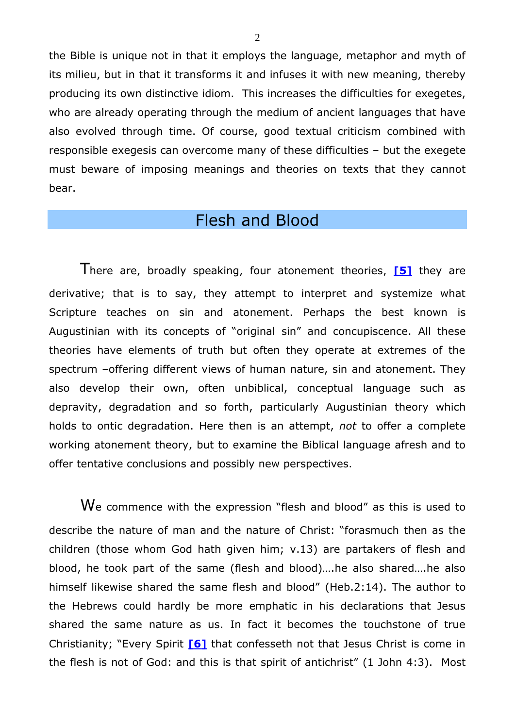the Bible is unique not in that it employs the language, metaphor and myth of its milieu, but in that it transforms it and infuses it with new meaning, thereby producing its own distinctive idiom. This increases the difficulties for exegetes, who are already operating through the medium of ancient languages that have also evolved through time. Of course, good textual criticism combined with responsible exegesis can overcome many of these difficulties – but the exegete must beware of imposing meanings and theories on texts that they cannot bear.

# <span id="page-1-0"></span>Flesh and Blood

There are, broadly speaking, four atonement theories, **[\[5\]](#page-23-2)** they are derivative; that is to say, they attempt to interpret and systemize what Scripture teaches on sin and atonement. Perhaps the best known is Augustinian with its concepts of "original sin" and concupiscence. All these theories have elements of truth but often they operate at extremes of the spectrum –offering different views of human nature, sin and atonement. They also develop their own, often unbiblical, conceptual language such as depravity, degradation and so forth, particularly Augustinian theory which holds to ontic degradation. Here then is an attempt, *not* to offer a complete working atonement theory, but to examine the Biblical language afresh and to offer tentative conclusions and possibly new perspectives.

<span id="page-1-1"></span>We commence with the expression "flesh and blood" as this is used to describe the nature of man and the nature of Christ: "forasmuch then as the children (those whom God hath given him; v.13) are partakers of flesh and blood, he took part of the same (flesh and blood)….he also shared….he also himself likewise shared the same flesh and blood" (Heb.2:14). The author to the Hebrews could hardly be more emphatic in his declarations that Jesus shared the same nature as us. In fact it becomes the touchstone of true Christianity; "Every Spirit **[\[6\]](#page-24-0)** that confesseth not that Jesus Christ is come in the flesh is not of God: and this is that spirit of antichrist" (1 John 4:3). Most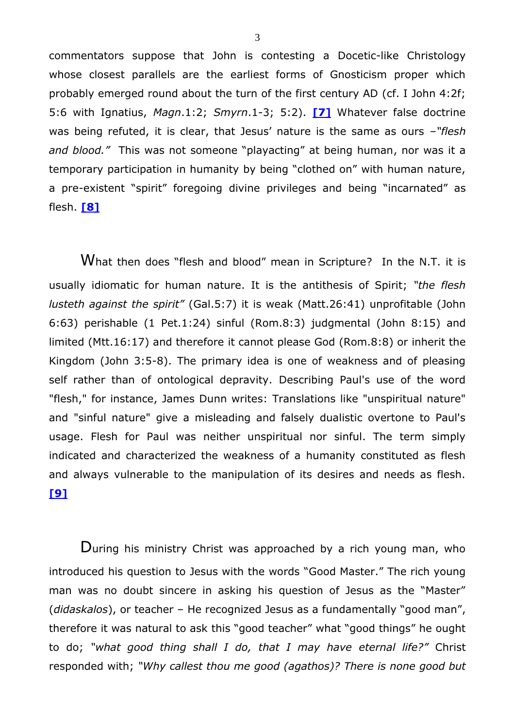<span id="page-2-0"></span>commentators suppose that John is contesting a Docetic-like Christology whose closest parallels are the earliest forms of Gnosticism proper which probably emerged round about the turn of the first century AD (cf. I John 4:2f; 5:6 with Ignatius, *Magn*.1:2; *Smyrn*.1-3; 5:2). **[\[7\]](#page-24-1)** Whatever false doctrine was being refuted, it is clear, that Jesus' nature is the same as ours *–"flesh and blood."* This was not someone "playacting" at being human, nor was it a temporary participation in humanity by being "clothed on" with human nature, a pre-existent "spirit" foregoing divine privileges and being "incarnated" as flesh. **[\[8\]](#page-25-0)**

<span id="page-2-1"></span>What then does "flesh and blood" mean in Scripture? In the N.T. it is usually idiomatic for human nature. It is the antithesis of Spirit; *"the flesh lusteth against the spirit"* (Gal.5:7) it is weak (Matt.26:41) unprofitable (John 6:63) perishable (1 Pet.1:24) sinful (Rom.8:3) judgmental (John 8:15) and limited (Mtt.16:17) and therefore it cannot please God (Rom.8:8) or inherit the Kingdom (John 3:5-8). The primary idea is one of weakness and of pleasing self rather than of ontological depravity. Describing Paul's use of the word "flesh," for instance, James Dunn writes: Translations like "unspiritual nature" and "sinful nature" give a misleading and falsely dualistic overtone to Paul's usage. Flesh for Paul was neither unspiritual nor sinful. The term simply indicated and characterized the weakness of a humanity constituted as flesh and always vulnerable to the manipulation of its desires and needs as flesh. **[\[9\]](#page-25-1)**

<span id="page-2-2"></span>During his ministry Christ was approached by a rich young man, who introduced his question to Jesus with the words "Good Master." The rich young man was no doubt sincere in asking his question of Jesus as the "Master" (*didaskalos*), or teacher – He recognized Jesus as a fundamentally "good man", therefore it was natural to ask this "good teacher" what "good things" he ought to do; *"what good thing shall I do, that I may have eternal life?"* Christ responded with; *"Why callest thou me good (agathos)? There is none good but*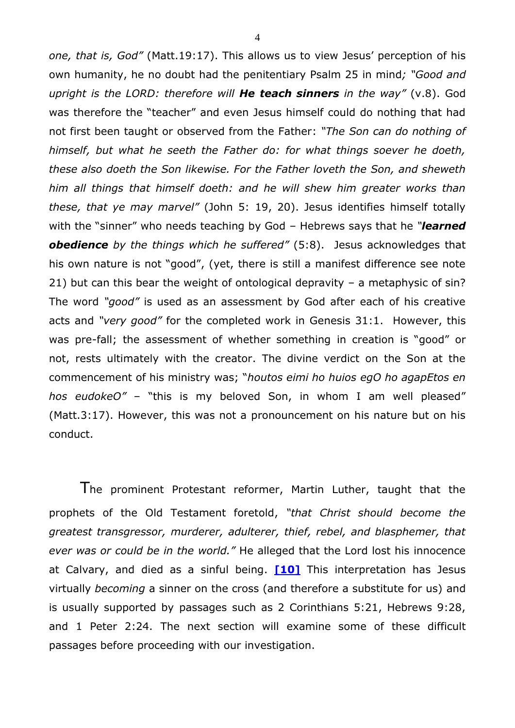*one, that is, God"* (Matt.19:17). This allows us to view Jesus' perception of his own humanity, he no doubt had the penitentiary Psalm 25 in mind*; "Good and upright is the LORD: therefore will He teach sinners in the way"* (v.8). God was therefore the "teacher" and even Jesus himself could do nothing that had not first been taught or observed from the Father: *"The Son can do nothing of himself, but what he seeth the Father do: for what things soever he doeth, these also doeth the Son likewise. For the Father loveth the Son, and sheweth him all things that himself doeth: and he will shew him greater works than these, that ye may marvel"* (John 5: 19, 20). Jesus identifies himself totally with the "sinner" who needs teaching by God – Hebrews says that he *"learned obedience by the things which he suffered"* (5:8). Jesus acknowledges that his own nature is not "good", (yet, there is still a manifest difference see note 21) but can this bear the weight of ontological depravity – a metaphysic of sin? The word *"good"* is used as an assessment by God after each of his creative acts and *"very good"* for the completed work in Genesis 31:1. However, this was pre-fall; the assessment of whether something in creation is "good" or not, rests ultimately with the creator. The divine verdict on the Son at the commencement of his ministry was; "*houtos eimi ho huios egO ho agapEtos en hos eudokeO"* – "this is my beloved Son, in whom I am well pleased" (Matt.3:17). However, this was not a pronouncement on his nature but on his conduct.

<span id="page-3-0"></span>The prominent Protestant reformer, Martin Luther, taught that the prophets of the Old Testament foretold, *"that Christ should become the greatest transgressor, murderer, adulterer, thief, rebel, and blasphemer, that ever was or could be in the world."* He alleged that the Lord lost his innocence at Calvary, and died as a sinful being. **[\[10\]](#page-25-2)** This interpretation has Jesus virtually *becoming* a sinner on the cross (and therefore a substitute for us) and is usually supported by passages such as 2 Corinthians 5:21, Hebrews 9:28, and 1 Peter 2:24. The next section will examine some of these difficult passages before proceeding with our investigation.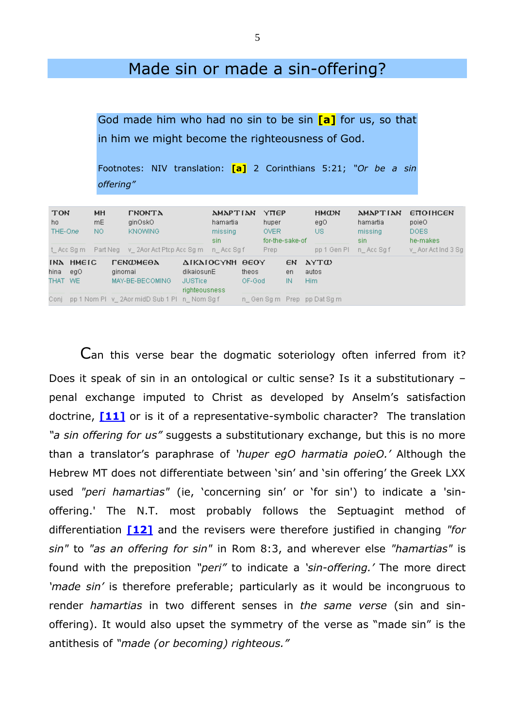## Made sin or made a sin-offering?

God made him who had no sin to be sin **[a]** for us, so that in him we might become the righteousness of God.

|           | Footnotes: NIV translation: [a] 2 Corinthians 5:21; "Or be a sin |  |  |  |  |
|-----------|------------------------------------------------------------------|--|--|--|--|
| offering" |                                                                  |  |  |  |  |

| <b>TON</b><br>ho.<br>THE-One |                              | <b>MH</b><br>mE.<br>NO. |                                   | <b><i>THONTA</i></b><br>ginOskO<br><b>KNOWING</b>                                   |           | <b><i>AMAPTIAN</i></b><br>hamartia<br>missing<br>sin. |      | <b>YTEP</b><br>huper<br><b>OVER</b><br>for-the-sake-of |                | <b>HMCDN</b><br>egO.<br>US. |           | <b>AMAPTIAN</b><br>hamartia<br>missing<br>sin. | <b>ETTOIHCEN</b><br>poieO<br>DOES.<br>he-makes |  |
|------------------------------|------------------------------|-------------------------|-----------------------------------|-------------------------------------------------------------------------------------|-----------|-------------------------------------------------------|------|--------------------------------------------------------|----------------|-----------------------------|-----------|------------------------------------------------|------------------------------------------------|--|
|                              | t Acc Sam                    |                         | Part Neg v_2Aor Act Ptcp Acc Sq m |                                                                                     | n Acc Sqf |                                                       | Prep |                                                        | pp 1 Gen Pl    |                             | n Acc Saf | v Aor Act Ind 3 Sq                             |                                                |  |
| hina l                       | INA HMEIC<br>-eaO<br>THAT WE |                         | ginomai                           | ΓΕΝΦΜΕΘΔ<br>dikaiosunE<br>MAY-BE-BECOMING<br><b>JUSTice</b><br><i>righteousness</i> |           | ΔΙΚΑΙΟΣΥΝΗ ΘΕΟΥ<br>theos<br>OF-God                    |      |                                                        | EN<br>en<br>IN | AYTW<br>autos<br>Him        |           |                                                |                                                |  |
|                              |                              |                         |                                   | Conj pp 1 Nom Pl v 2Aor midD Sub 1 Pl n Nom Sq f                                    |           |                                                       |      |                                                        |                | n Gen Sq m Prep pp Dat Sq m |           |                                                |                                                |  |

<span id="page-4-1"></span><span id="page-4-0"></span>Can this verse bear the dogmatic soteriology often inferred from it? Does it speak of sin in an ontological or cultic sense? Is it a substitutionary – penal exchange imputed to Christ as developed by Anselm's satisfaction doctrine, **[\[11\]](#page-26-0)** or is it of a representative-symbolic character? The translation *"a sin offering for us"* suggests a substitutionary exchange, but this is no more than a translator's paraphrase of *'huper egO harmatia poieO.'* Although the Hebrew MT does not differentiate between 'sin' and 'sin offering' the Greek LXX used *"peri hamartias"* (ie, 'concerning sin' or 'for sin') to indicate a 'sinoffering.' The N.T. most probably follows the Septuagint method of differentiation **[\[12\]](#page-26-1)** and the revisers were therefore justified in changing *"for sin"* to *"as an offering for sin"* in Rom 8:3, and wherever else *"hamartias"* is found with the preposition *"peri"* to indicate a *'sin-offering.'* The more direct *'made sin'* is therefore preferable; particularly as it would be incongruous to render *hamartias* in two different senses in *the same verse* (sin and sinoffering). It would also upset the symmetry of the verse as "made sin" is the antithesis of *"made (or becoming) righteous."*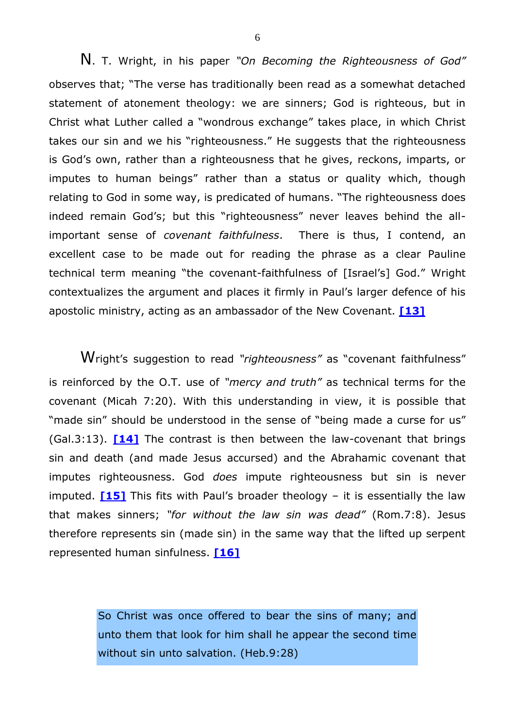N. T. Wright, in his paper *"On Becoming the Righteousness of God"* observes that; "The verse has traditionally been read as a somewhat detached statement of atonement theology: we are sinners; God is righteous, but in Christ what Luther called a "wondrous exchange" takes place, in which Christ takes our sin and we his "righteousness." He suggests that the righteousness is God's own, rather than a righteousness that he gives, reckons, imparts, or imputes to human beings" rather than a status or quality which, though relating to God in some way, is predicated of humans. "The righteousness does indeed remain God's; but this "righteousness" never leaves behind the allimportant sense of *covenant faithfulness*. There is thus, I contend, an excellent case to be made out for reading the phrase as a clear Pauline technical term meaning "the covenant-faithfulness of [Israel's] God." Wright contextualizes the argument and places it firmly in Paul's larger defence of his apostolic ministry, acting as an ambassador of the New Covenant. **[\[13\]](#page-26-2)**

<span id="page-5-1"></span>Wright's suggestion to read *"righteousness"* as "covenant faithfulness" is reinforced by the O.T. use of *"mercy and truth"* as technical terms for the covenant (Micah 7:20). With this understanding in view, it is possible that "made sin" should be understood in the sense of "being made a curse for us" (Gal.3:13). **[\[14\]](#page-27-0)** The contrast is then between the law-covenant that brings sin and death (and made Jesus accursed) and the Abrahamic covenant that imputes righteousness. God *does* impute righteousness but sin is never imputed. **[\[15\]](#page-27-1)** This fits with Paul's broader theology – it is essentially the law that makes sinners; *"for without the law sin was dead"* (Rom.7:8). Jesus therefore represents sin (made sin) in the same way that the lifted up serpent represented human sinfulness. **[\[16\]](#page-28-0)**

> <span id="page-5-3"></span><span id="page-5-2"></span>So Christ was once offered to bear the sins of many; and unto them that look for him shall he appear the second time without sin unto salvation. (Heb.9:28)

<span id="page-5-0"></span>6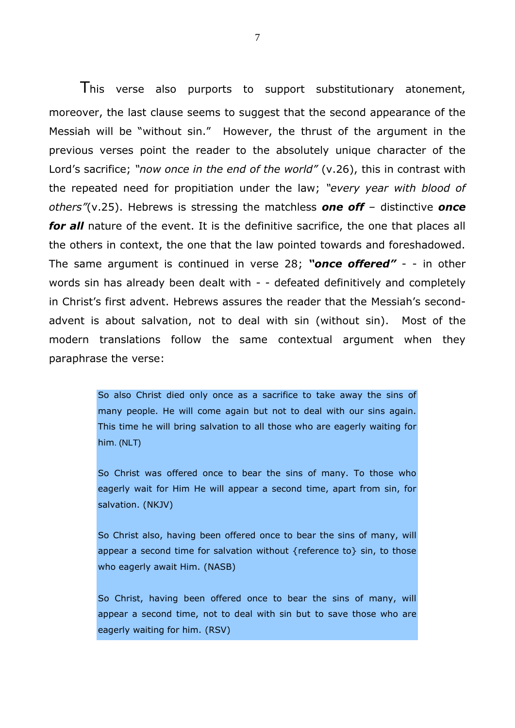This verse also purports to support substitutionary atonement, moreover, the last clause seems to suggest that the second appearance of the Messiah will be "without sin." However, the thrust of the argument in the previous verses point the reader to the absolutely unique character of the Lord's sacrifice; *"now once in the end of the world"* (v.26), this in contrast with the repeated need for propitiation under the law; *"every year with blood of others"*(v.25). Hebrews is stressing the matchless *one off* – distinctive *once*  for all nature of the event. It is the definitive sacrifice, the one that places all the others in context, the one that the law pointed towards and foreshadowed. The same argument is continued in verse 28; *"once offered"* - - in other words sin has already been dealt with - - defeated definitively and completely in Christ's first advent. Hebrews assures the reader that the Messiah's secondadvent is about salvation, not to deal with sin (without sin). Most of the modern translations follow the same contextual argument when they paraphrase the verse:

> So also Christ died only once as a sacrifice to take away the sins of many people. He will come again but not to deal with our sins again. This time he will bring salvation to all those who are eagerly waiting for him. (NLT)

> So Christ was offered once to bear the sins of many. To those who eagerly wait for Him He will appear a second time, apart from sin, for salvation. (NKJV)

> So Christ also, having been offered once to bear the sins of many, will appear a second time for salvation without {reference to} sin, to those who eagerly await Him. (NASB)

> So Christ, having been offered once to bear the sins of many, will appear a second time, not to deal with sin but to save those who are eagerly waiting for him. (RSV)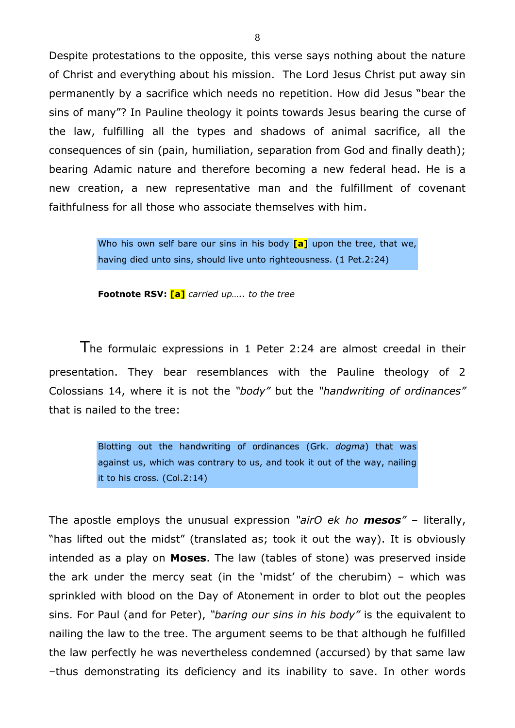Despite protestations to the opposite, this verse says nothing about the nature of Christ and everything about his mission. The Lord Jesus Christ put away sin permanently by a sacrifice which needs no repetition. How did Jesus "bear the sins of many"? In Pauline theology it points towards Jesus bearing the curse of the law, fulfilling all the types and shadows of animal sacrifice, all the consequences of sin (pain, humiliation, separation from God and finally death); bearing Adamic nature and therefore becoming a new federal head. He is a new creation, a new representative man and the fulfillment of covenant faithfulness for all those who associate themselves with him.

> Who his own self bare our sins in his body **[a]** upon the tree, that we, having died unto sins, should live unto righteousness. (1 Pet.2:24)

**Footnote RSV: [a]** *carried up….. to the tree*

The formulaic expressions in 1 Peter 2:24 are almost creedal in their presentation. They bear resemblances with the Pauline theology of 2 Colossians 14, where it is not the *"body"* but the *"handwriting of ordinances"* that is nailed to the tree:

> Blotting out the handwriting of ordinances (Grk. *dogma*) that was against us, which was contrary to us, and took it out of the way, nailing it to his cross. (Col.2:14)

The apostle employs the unusual expression *"airO ek ho mesos"* – literally, "has lifted out the midst" (translated as; took it out the way). It is obviously intended as a play on **Moses**. The law (tables of stone) was preserved inside the ark under the mercy seat (in the 'midst' of the cherubim) – which was sprinkled with blood on the Day of Atonement in order to blot out the peoples sins. For Paul (and for Peter), *"baring our sins in his body"* is the equivalent to nailing the law to the tree. The argument seems to be that although he fulfilled the law perfectly he was nevertheless condemned (accursed) by that same law –thus demonstrating its deficiency and its inability to save. In other words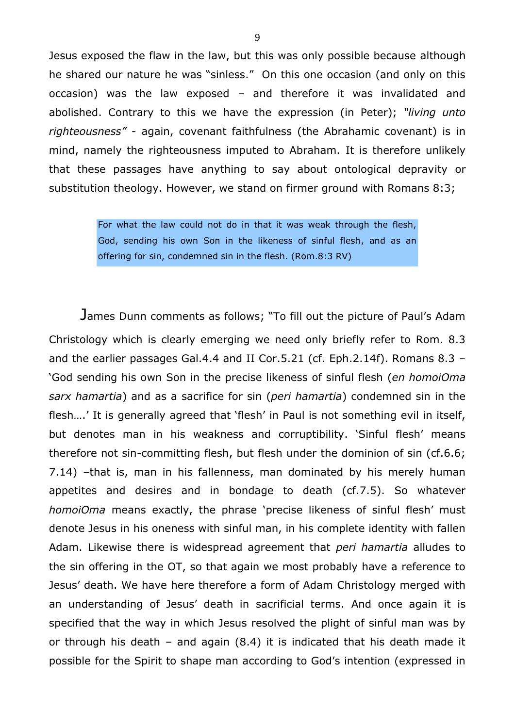Jesus exposed the flaw in the law, but this was only possible because although he shared our nature he was "sinless." On this one occasion (and only on this occasion) was the law exposed – and therefore it was invalidated and abolished. Contrary to this we have the expression (in Peter); *"living unto righteousness"* - again, covenant faithfulness (the Abrahamic covenant) is in mind, namely the righteousness imputed to Abraham. It is therefore unlikely that these passages have anything to say about ontological depravity or substitution theology. However, we stand on firmer ground with Romans 8:3;

> For what the law could not do in that it was weak through the flesh, God, sending his own Son in the likeness of sinful flesh, and as an offering for sin, condemned sin in the flesh. (Rom.8:3 RV)

James Dunn comments as follows; "To fill out the picture of Paul's Adam Christology which is clearly emerging we need only briefly refer to Rom. 8.3 and the earlier passages Gal.4.4 and II Cor.5.21 (cf. Eph.2.14f). Romans 8.3 – 'God sending his own Son in the precise likeness of sinful flesh (*en homoiOma sarx hamartia*) and as a sacrifice for sin (*peri hamartia*) condemned sin in the flesh….' It is generally agreed that 'flesh' in Paul is not something evil in itself, but denotes man in his weakness and corruptibility. 'Sinful flesh' means therefore not sin-committing flesh, but flesh under the dominion of sin (cf.6.6; 7.14) –that is, man in his fallenness, man dominated by his merely human appetites and desires and in bondage to death (cf.7.5). So whatever *homoiOma* means exactly, the phrase 'precise likeness of sinful flesh' must denote Jesus in his oneness with sinful man, in his complete identity with fallen Adam. Likewise there is widespread agreement that *peri hamartia* alludes to the sin offering in the OT, so that again we most probably have a reference to Jesus' death. We have here therefore a form of Adam Christology merged with an understanding of Jesus' death in sacrificial terms. And once again it is specified that the way in which Jesus resolved the plight of sinful man was by or through his death – and again (8.4) it is indicated that his death made it possible for the Spirit to shape man according to God's intention (expressed in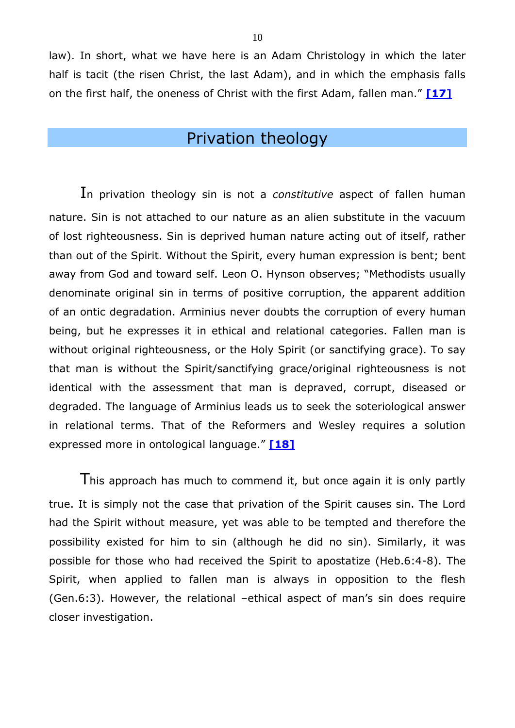law). In short, what we have here is an Adam Christology in which the later half is tacit (the risen Christ, the last Adam), and in which the emphasis falls on the first half, the oneness of Christ with the first Adam, fallen man." **[\[17\]](#page-28-1)**

## <span id="page-9-0"></span>Privation theology

In privation theology sin is not a *constitutive* aspect of fallen human nature. Sin is not attached to our nature as an alien substitute in the vacuum of lost righteousness. Sin is deprived human nature acting out of itself, rather than out of the Spirit. Without the Spirit, every human expression is bent; bent away from God and toward self. Leon O. Hynson observes; "Methodists usually denominate original sin in terms of positive corruption, the apparent addition of an ontic degradation. Arminius never doubts the corruption of every human being, but he expresses it in ethical and relational categories. Fallen man is without original righteousness, or the Holy Spirit (or sanctifying grace). To say that man is without the Spirit/sanctifying grace/original righteousness is not identical with the assessment that man is depraved, corrupt, diseased or degraded. The language of Arminius leads us to seek the soteriological answer in relational terms. That of the Reformers and Wesley requires a solution expressed more in ontological language." **[\[18\]](#page-28-2)**

<span id="page-9-1"></span>This approach has much to commend it, but once again it is only partly true. It is simply not the case that privation of the Spirit causes sin. The Lord had the Spirit without measure, yet was able to be tempted and therefore the possibility existed for him to sin (although he did no sin). Similarly, it was possible for those who had received the Spirit to apostatize (Heb.6:4-8). The Spirit, when applied to fallen man is always in opposition to the flesh (Gen.6:3). However, the relational –ethical aspect of man's sin does require closer investigation.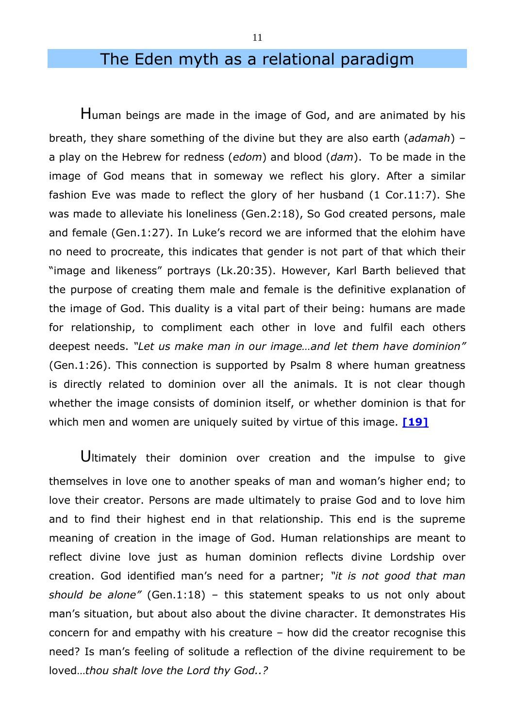# The Eden myth as a relational paradigm

Human beings are made in the image of God, and are animated by his breath, they share something of the divine but they are also earth (*adamah*) – a play on the Hebrew for redness (*edom*) and blood (*dam*). To be made in the image of God means that in someway we reflect his glory. After a similar fashion Eve was made to reflect the glory of her husband (1 Cor.11:7). She was made to alleviate his loneliness (Gen.2:18), So God created persons, male and female (Gen.1:27). In Luke's record we are informed that the elohim have no need to procreate, this indicates that gender is not part of that which their "image and likeness" portrays (Lk.20:35). However, Karl Barth believed that the purpose of creating them male and female is the definitive explanation of the image of God. This duality is a vital part of their being: humans are made for relationship, to compliment each other in love and fulfil each others deepest needs. *"Let us make man in our image…and let them have dominion"* (Gen.1:26). This connection is supported by Psalm 8 where human greatness is directly related to dominion over all the animals. It is not clear though whether the image consists of dominion itself, or whether dominion is that for which men and women are uniquely suited by virtue of this image. **[\[19\]](#page-28-3)**

<span id="page-10-0"></span>Ultimately their dominion over creation and the impulse to give themselves in love one to another speaks of man and woman's higher end; to love their creator. Persons are made ultimately to praise God and to love him and to find their highest end in that relationship. This end is the supreme meaning of creation in the image of God. Human relationships are meant to reflect divine love just as human dominion reflects divine Lordship over creation. God identified man's need for a partner; *"it is not good that man should be alone"* (Gen.1:18) – this statement speaks to us not only about man's situation, but about also about the divine character. It demonstrates His concern for and empathy with his creature – how did the creator recognise this need? Is man's feeling of solitude a reflection of the divine requirement to be loved…*thou shalt love the Lord thy God..?*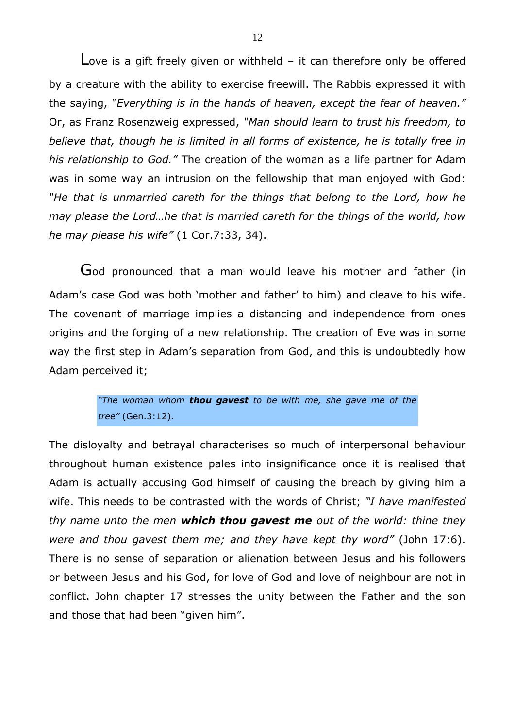Love is a gift freely given or withheld – it can therefore only be offered by a creature with the ability to exercise freewill. The Rabbis expressed it with the saying, *"Everything is in the hands of heaven, except the fear of heaven."*  Or, as Franz Rosenzweig expressed, *"Man should learn to trust his freedom, to believe that, though he is limited in all forms of existence, he is totally free in his relationship to God."* The creation of the woman as a life partner for Adam was in some way an intrusion on the fellowship that man enjoyed with God: *"He that is unmarried careth for the things that belong to the Lord, how he may please the Lord…he that is married careth for the things of the world, how he may please his wife"* (1 Cor.7:33, 34).

God pronounced that a man would leave his mother and father (in Adam's case God was both 'mother and father' to him) and cleave to his wife. The covenant of marriage implies a distancing and independence from ones origins and the forging of a new relationship. The creation of Eve was in some way the first step in Adam's separation from God, and this is undoubtedly how Adam perceived it;

> *"The woman whom thou gavest to be with me, she gave me of the tree"* (Gen.3:12).

The disloyalty and betrayal characterises so much of interpersonal behaviour throughout human existence pales into insignificance once it is realised that Adam is actually accusing God himself of causing the breach by giving him a wife. This needs to be contrasted with the words of Christ; *"I have manifested thy name unto the men which thou gavest me out of the world: thine they were and thou gavest them me; and they have kept thy word"* (John 17:6). There is no sense of separation or alienation between Jesus and his followers or between Jesus and his God, for love of God and love of neighbour are not in conflict. John chapter 17 stresses the unity between the Father and the son and those that had been "given him".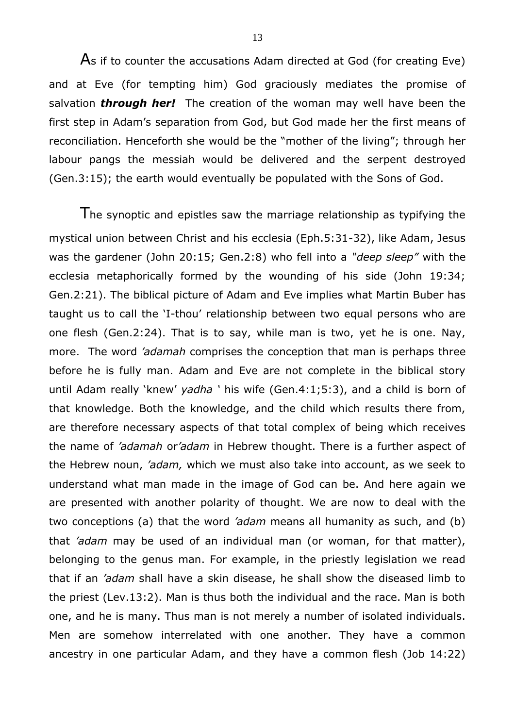As if to counter the accusations Adam directed at God (for creating Eve) and at Eve (for tempting him) God graciously mediates the promise of salvation *through her!* The creation of the woman may well have been the first step in Adam's separation from God, but God made her the first means of reconciliation. Henceforth she would be the "mother of the living"; through her labour pangs the messiah would be delivered and the serpent destroyed (Gen.3:15); the earth would eventually be populated with the Sons of God.

The synoptic and epistles saw the marriage relationship as typifying the mystical union between Christ and his ecclesia (Eph.5:31-32), like Adam, Jesus was the gardener (John 20:15; Gen.2:8) who fell into a *"deep sleep"* with the ecclesia metaphorically formed by the wounding of his side (John 19:34; Gen.2:21). The biblical picture of Adam and Eve implies what Martin Buber has taught us to call the 'I-thou' relationship between two equal persons who are one flesh (Gen.2:24). That is to say, while man is two, yet he is one. Nay, more. The word *'adamah* comprises the conception that man is perhaps three before he is fully man. Adam and Eve are not complete in the biblical story until Adam really 'knew' *yadha '* his wife (Gen.4:1;5:3), and a child is born of that knowledge. Both the knowledge, and the child which results there from, are therefore necessary aspects of that total complex of being which receives the name of *'adamah* or*'adam* in Hebrew thought. There is a further aspect of the Hebrew noun, *'adam,* which we must also take into account, as we seek to understand what man made in the image of God can be. And here again we are presented with another polarity of thought. We are now to deal with the two conceptions (a) that the word *'adam* means all humanity as such, and (b) that *'adam* may be used of an individual man (or woman, for that matter), belonging to the genus man. For example, in the priestly legislation we read that if an *'adam* shall have a skin disease, he shall show the diseased limb to the priest (Lev.13:2). Man is thus both the individual and the race. Man is both one, and he is many. Thus man is not merely a number of isolated individuals. Men are somehow interrelated with one another. They have a common ancestry in one particular Adam, and they have a common flesh (Job 14:22)

13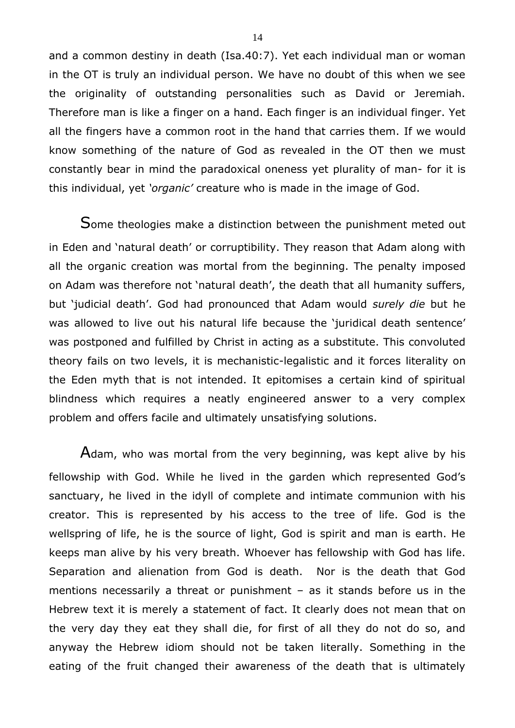and a common destiny in death (Isa.40:7). Yet each individual man or woman in the OT is truly an individual person. We have no doubt of this when we see the originality of outstanding personalities such as David or Jeremiah. Therefore man is like a finger on a hand. Each finger is an individual finger. Yet all the fingers have a common root in the hand that carries them. If we would know something of the nature of God as revealed in the OT then we must constantly bear in mind the paradoxical oneness yet plurality of man- for it is this individual, yet *'organic'* creature who is made in the image of God.

Some theologies make a distinction between the punishment meted out in Eden and 'natural death' or corruptibility. They reason that Adam along with all the organic creation was mortal from the beginning. The penalty imposed on Adam was therefore not 'natural death', the death that all humanity suffers, but 'judicial death'. God had pronounced that Adam would *surely die* but he was allowed to live out his natural life because the 'juridical death sentence' was postponed and fulfilled by Christ in acting as a substitute. This convoluted theory fails on two levels, it is mechanistic-legalistic and it forces literality on the Eden myth that is not intended. It epitomises a certain kind of spiritual blindness which requires a neatly engineered answer to a very complex problem and offers facile and ultimately unsatisfying solutions.

Adam, who was mortal from the very beginning, was kept alive by his fellowship with God. While he lived in the garden which represented God's sanctuary, he lived in the idyll of complete and intimate communion with his creator. This is represented by his access to the tree of life. God is the wellspring of life, he is the source of light, God is spirit and man is earth. He keeps man alive by his very breath. Whoever has fellowship with God has life. Separation and alienation from God is death. Nor is the death that God mentions necessarily a threat or punishment – as it stands before us in the Hebrew text it is merely a statement of fact. It clearly does not mean that on the very day they eat they shall die, for first of all they do not do so, and anyway the Hebrew idiom should not be taken literally. Something in the eating of the fruit changed their awareness of the death that is ultimately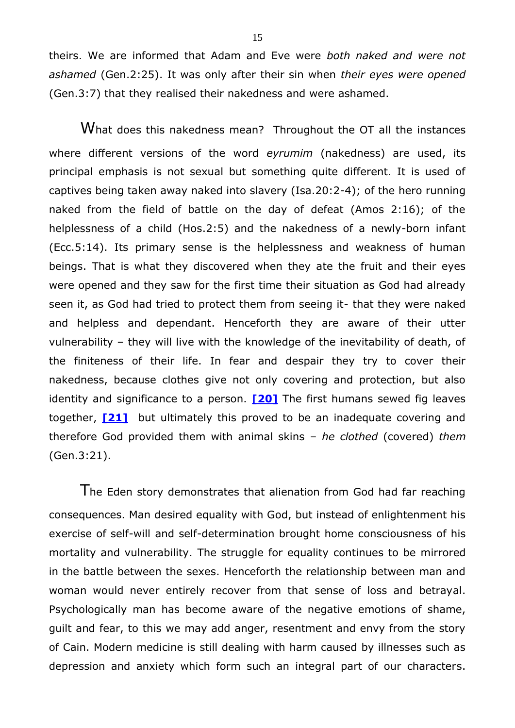theirs. We are informed that Adam and Eve were *both naked and were not ashamed* (Gen.2:25). It was only after their sin when *their eyes were opened* (Gen.3:7) that they realised their nakedness and were ashamed.

What does this nakedness mean? Throughout the OT all the instances where different versions of the word *eyrumim* (nakedness) are used, its principal emphasis is not sexual but something quite different. It is used of captives being taken away naked into slavery (Isa.20:2-4); of the hero running naked from the field of battle on the day of defeat (Amos 2:16); of the helplessness of a child (Hos.2:5) and the nakedness of a newly-born infant (Ecc.5:14). Its primary sense is the helplessness and weakness of human beings. That is what they discovered when they ate the fruit and their eyes were opened and they saw for the first time their situation as God had already seen it, as God had tried to protect them from seeing it- that they were naked and helpless and dependant. Henceforth they are aware of their utter vulnerability – they will live with the knowledge of the inevitability of death, of the finiteness of their life. In fear and despair they try to cover their nakedness, because clothes give not only covering and protection, but also identity and significance to a person. **[\[20\]](#page-28-4)** The first humans sewed fig leaves together, **[\[21\]](#page-29-0)** but ultimately this proved to be an inadequate covering and therefore God provided them with animal skins – *he clothed* (covered) *them* (Gen.3:21).

<span id="page-14-1"></span><span id="page-14-0"></span>The Eden story demonstrates that alienation from God had far reaching consequences. Man desired equality with God, but instead of enlightenment his exercise of self-will and self-determination brought home consciousness of his mortality and vulnerability. The struggle for equality continues to be mirrored in the battle between the sexes. Henceforth the relationship between man and woman would never entirely recover from that sense of loss and betrayal. Psychologically man has become aware of the negative emotions of shame, guilt and fear, to this we may add anger, resentment and envy from the story of Cain. Modern medicine is still dealing with harm caused by illnesses such as depression and anxiety which form such an integral part of our characters.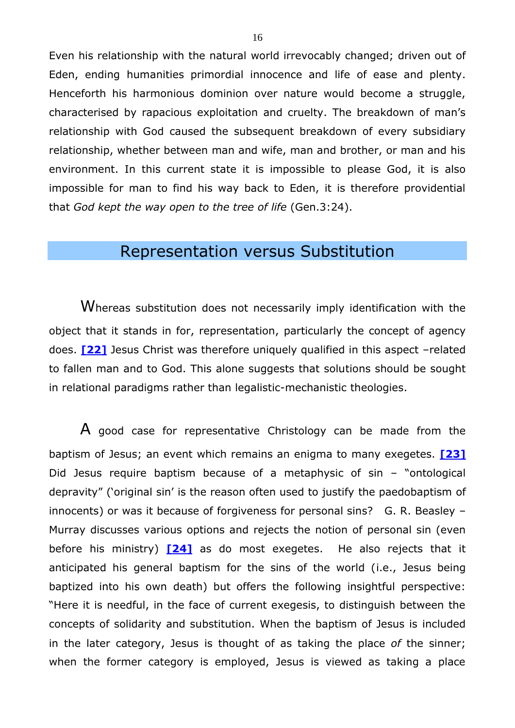Even his relationship with the natural world irrevocably changed; driven out of Eden, ending humanities primordial innocence and life of ease and plenty. Henceforth his harmonious dominion over nature would become a struggle, characterised by rapacious exploitation and cruelty. The breakdown of man's relationship with God caused the subsequent breakdown of every subsidiary relationship, whether between man and wife, man and brother, or man and his environment. In this current state it is impossible to please God, it is also impossible for man to find his way back to Eden, it is therefore providential that *God kept the way open to the tree of life* (Gen.3:24).

#### <span id="page-15-1"></span>Representation versus Substitution

<span id="page-15-0"></span>Whereas substitution does not necessarily imply identification with the object that it stands in for, representation, particularly the concept of agency does. **[\[22\]](#page-29-1)** Jesus Christ was therefore uniquely qualified in this aspect –related to fallen man and to God. This alone suggests that solutions should be sought in relational paradigms rather than legalistic-mechanistic theologies.

<span id="page-15-2"></span>A good case for representative Christology can be made from the baptism of Jesus; an event which remains an enigma to many exegetes. **[\[23\]](#page-29-2)** Did Jesus require baptism because of a metaphysic of sin – "ontological depravity" ('original sin' is the reason often used to justify the paedobaptism of innocents) or was it because of forgiveness for personal sins? G. R. Beasley – Murray discusses various options and rejects the notion of personal sin (even before his ministry) **[\[24\]](#page-30-0)** as do most exegetes. He also rejects that it anticipated his general baptism for the sins of the world (i.e., Jesus being baptized into his own death) but offers the following insightful perspective: "Here it is needful, in the face of current exegesis, to distinguish between the concepts of solidarity and substitution. When the baptism of Jesus is included in the later category, Jesus is thought of as taking the place *of* the sinner; when the former category is employed, Jesus is viewed as taking a place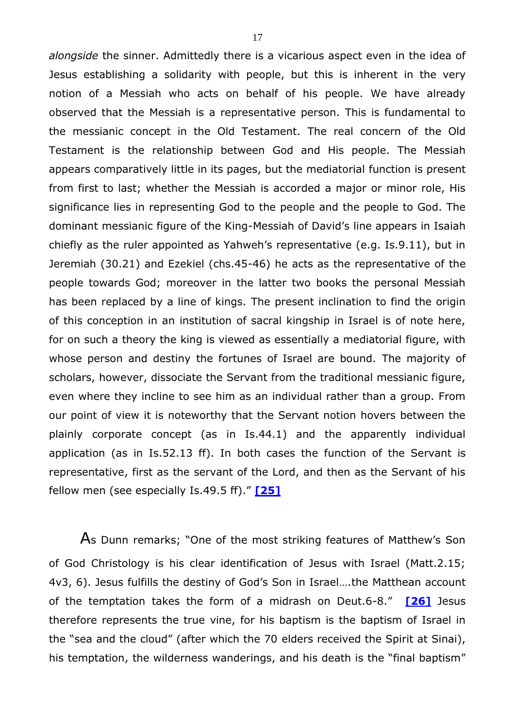*alongside* the sinner. Admittedly there is a vicarious aspect even in the idea of Jesus establishing a solidarity with people, but this is inherent in the very notion of a Messiah who acts on behalf of his people. We have already observed that the Messiah is a representative person. This is fundamental to the messianic concept in the Old Testament. The real concern of the Old Testament is the relationship between God and His people. The Messiah appears comparatively little in its pages, but the mediatorial function is present from first to last; whether the Messiah is accorded a major or minor role, His significance lies in representing God to the people and the people to God. The dominant messianic figure of the King-Messiah of David's line appears in Isaiah chiefly as the ruler appointed as Yahweh's representative (e.g. Is.9.11), but in Jeremiah (30.21) and Ezekiel (chs.45-46) he acts as the representative of the people towards God; moreover in the latter two books the personal Messiah has been replaced by a line of kings. The present inclination to find the origin of this conception in an institution of sacral kingship in Israel is of note here, for on such a theory the king is viewed as essentially a mediatorial figure, with whose person and destiny the fortunes of Israel are bound. The majority of scholars, however, dissociate the Servant from the traditional messianic figure, even where they incline to see him as an individual rather than a group. From our point of view it is noteworthy that the Servant notion hovers between the plainly corporate concept (as in Is.44.1) and the apparently individual application (as in Is.52.13 ff). In both cases the function of the Servant is representative, first as the servant of the Lord, and then as the Servant of his fellow men (see especially Is.49.5 ff)." **[\[25\]](#page-31-0)**

<span id="page-16-1"></span><span id="page-16-0"></span>As Dunn remarks; "One of the most striking features of Matthew's Son of God Christology is his clear identification of Jesus with Israel (Matt.2.15; 4v3, 6). Jesus fulfills the destiny of God's Son in Israel….the Matthean account of the temptation takes the form of a midrash on Deut.6-8." **[\[26\]](#page-31-1)** Jesus therefore represents the true vine, for his baptism is the baptism of Israel in the "sea and the cloud" (after which the 70 elders received the Spirit at Sinai), his temptation, the wilderness wanderings, and his death is the "final baptism"

17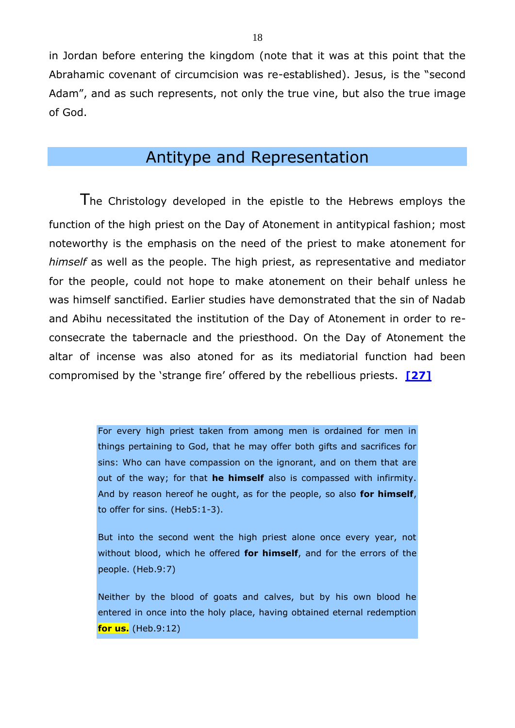in Jordan before entering the kingdom (note that it was at this point that the Abrahamic covenant of circumcision was re-established). Jesus, is the "second Adam", and as such represents, not only the true vine, but also the true image of God.

## Antitype and Representation

The Christology developed in the epistle to the Hebrews employs the function of the high priest on the Day of Atonement in antitypical fashion; most noteworthy is the emphasis on the need of the priest to make atonement for *himself* as well as the people. The high priest, as representative and mediator for the people, could not hope to make atonement on their behalf unless he was himself sanctified. Earlier studies have demonstrated that the sin of Nadab and Abihu necessitated the institution of the Day of Atonement in order to reconsecrate the tabernacle and the priesthood. On the Day of Atonement the altar of incense was also atoned for as its mediatorial function had been compromised by the 'strange fire' offered by the rebellious priests. **[\[27\]](#page-31-2)**

> <span id="page-17-0"></span>For every high priest taken from among men is ordained for men in things pertaining to God, that he may offer both gifts and sacrifices for sins: Who can have compassion on the ignorant, and on them that are out of the way; for that **he himself** also is compassed with infirmity. And by reason hereof he ought, as for the people, so also **for himself**, to offer for sins. (Heb5:1-3).

> But into the second went the high priest alone once every year, not without blood, which he offered **for himself**, and for the errors of the people. (Heb.9:7)

> Neither by the blood of goats and calves, but by his own blood he entered in once into the holy place, having obtained eternal redemption **for us.** (Heb.9:12)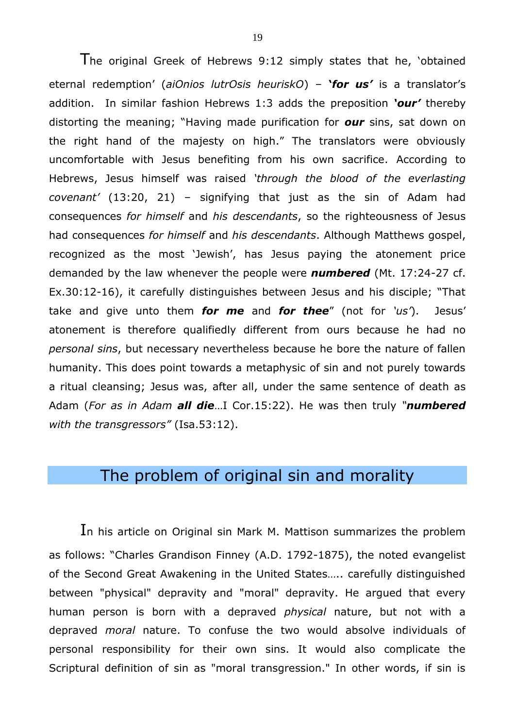The original Greek of Hebrews 9:12 simply states that he, 'obtained eternal redemption' (*aiOnios lutrOsis heuriskO*) – **'***for us'* is a translator's addition. In similar fashion Hebrews 1:3 adds the preposition *'our'* thereby distorting the meaning; "Having made purification for *our* sins, sat down on the right hand of the majesty on high." The translators were obviously uncomfortable with Jesus benefiting from his own sacrifice. According to Hebrews, Jesus himself was raised *'through the blood of the everlasting covenant'* (13:20, 21) – signifying that just as the sin of Adam had consequences *for himself* and *his descendants*, so the righteousness of Jesus had consequences *for himself* and *his descendants*. Although Matthews gospel, recognized as the most 'Jewish', has Jesus paying the atonement price demanded by the law whenever the people were *numbered* (Mt. 17:24-27 cf. Ex.30:12-16), it carefully distinguishes between Jesus and his disciple; "That take and give unto them *for me* and *for thee*" (not for *'us'*). Jesus' atonement is therefore qualifiedly different from ours because he had no *personal sins*, but necessary nevertheless because he bore the nature of fallen humanity. This does point towards a metaphysic of sin and not purely towards a ritual cleansing; Jesus was, after all, under the same sentence of death as Adam (*For as in Adam all die*…I Cor.15:22). He was then truly *"numbered with the transgressors"* (Isa.53:12).

## The problem of original sin and morality

In his article on Original sin Mark M. Mattison summarizes the problem as follows: "Charles Grandison Finney (A.D. 1792-1875), the noted evangelist of the Second Great Awakening in the United States….. carefully distinguished between "physical" depravity and "moral" depravity. He argued that every human person is born with a depraved *physical* nature, but not with a depraved *moral* nature. To confuse the two would absolve individuals of personal responsibility for their own sins. It would also complicate the Scriptural definition of sin as "moral transgression." In other words, if sin is

19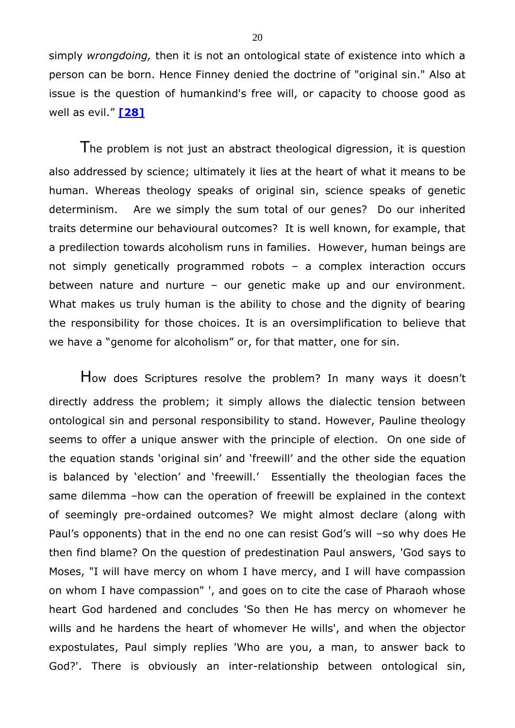simply *wrongdoing,* then it is not an ontological state of existence into which a person can be born. Hence Finney denied the doctrine of "original sin." Also at issue is the question of humankind's free will, or capacity to choose good as well as evil." **[\[28\]](#page-31-3)**

<span id="page-19-0"></span>The problem is not just an abstract theological digression, it is question also addressed by science; ultimately it lies at the heart of what it means to be human. Whereas theology speaks of original sin, science speaks of genetic determinism. Are we simply the sum total of our genes? Do our inherited traits determine our behavioural outcomes? It is well known, for example, that a predilection towards alcoholism runs in families. However, human beings are not simply genetically programmed robots – a complex interaction occurs between nature and nurture – our genetic make up and our environment. What makes us truly human is the ability to chose and the dignity of bearing the responsibility for those choices. It is an oversimplification to believe that we have a "genome for alcoholism" or, for that matter, one for sin.

How does Scriptures resolve the problem? In many ways it doesn'<sup>t</sup> directly address the problem; it simply allows the dialectic tension between ontological sin and personal responsibility to stand. However, Pauline theology seems to offer a unique answer with the principle of election. On one side of the equation stands 'original sin' and 'freewill' and the other side the equation is balanced by 'election' and 'freewill.' Essentially the theologian faces the same dilemma –how can the operation of freewill be explained in the context of seemingly pre-ordained outcomes? We might almost declare (along with Paul's opponents) that in the end no one can resist God's will –so why does He then find blame? On the question of predestination Paul answers, 'God says to Moses, "I will have mercy on whom I have mercy, and I will have compassion on whom I have compassion" ', and goes on to cite the case of Pharaoh whose heart God hardened and concludes 'So then He has mercy on whomever he wills and he hardens the heart of whomever He wills', and when the objector expostulates, Paul simply replies 'Who are you, a man, to answer back to God?'. There is obviously an inter-relationship between ontological sin,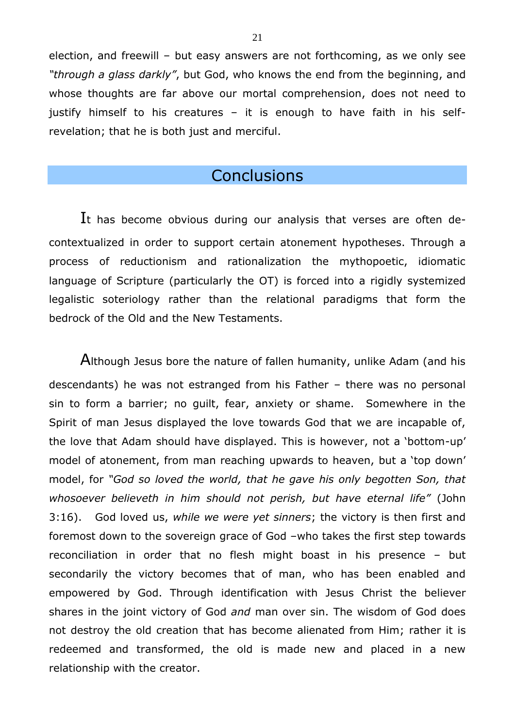election, and freewill – but easy answers are not forthcoming, as we only see *"through a glass darkly"*, but God, who knows the end from the beginning, and whose thoughts are far above our mortal comprehension, does not need to justify himself to his creatures – it is enough to have faith in his selfrevelation; that he is both just and merciful.

#### **Conclusions**

It has become obvious during our analysis that verses are often decontextualized in order to support certain atonement hypotheses. Through a process of reductionism and rationalization the mythopoetic, idiomatic language of Scripture (particularly the OT) is forced into a rigidly systemized legalistic soteriology rather than the relational paradigms that form the bedrock of the Old and the New Testaments.

Although Jesus bore the nature of fallen humanity, unlike Adam (and his descendants) he was not estranged from his Father – there was no personal sin to form a barrier; no guilt, fear, anxiety or shame. Somewhere in the Spirit of man Jesus displayed the love towards God that we are incapable of, the love that Adam should have displayed. This is however, not a 'bottom-up' model of atonement, from man reaching upwards to heaven, but a 'top down' model, for *"God so loved the world, that he gave his only begotten Son, that whosoever believeth in him should not perish, but have eternal life"* (John 3:16). God loved us, *while we were yet sinners*; the victory is then first and foremost down to the sovereign grace of God –who takes the first step towards reconciliation in order that no flesh might boast in his presence – but secondarily the victory becomes that of man, who has been enabled and empowered by God. Through identification with Jesus Christ the believer shares in the joint victory of God *and* man over sin. The wisdom of God does not destroy the old creation that has become alienated from Him; rather it is redeemed and transformed, the old is made new and placed in a new relationship with the creator.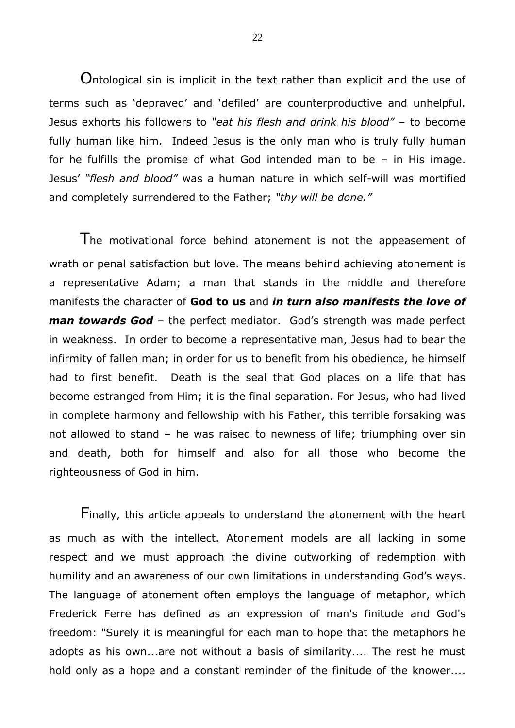Ontological sin is implicit in the text rather than explicit and the use of terms such as 'depraved' and 'defiled' are counterproductive and unhelpful. Jesus exhorts his followers to *"eat his flesh and drink his blood"* – to become fully human like him. Indeed Jesus is the only man who is truly fully human for he fulfills the promise of what God intended man to be – in His image. Jesus' *"flesh and blood"* was a human nature in which self-will was mortified and completely surrendered to the Father; *"thy will be done."*

The motivational force behind atonement is not the appeasement of wrath or penal satisfaction but love. The means behind achieving atonement is a representative Adam; a man that stands in the middle and therefore manifests the character of **God to us** and *in turn also manifests the love of man towards God* – the perfect mediator. God's strength was made perfect in weakness. In order to become a representative man, Jesus had to bear the infirmity of fallen man; in order for us to benefit from his obedience, he himself had to first benefit. Death is the seal that God places on a life that has become estranged from Him; it is the final separation. For Jesus, who had lived in complete harmony and fellowship with his Father, this terrible forsaking was not allowed to stand – he was raised to newness of life; triumphing over sin and death, both for himself and also for all those who become the righteousness of God in him.

Finally, this article appeals to understand the atonement with the heart as much as with the intellect. Atonement models are all lacking in some respect and we must approach the divine outworking of redemption with humility and an awareness of our own limitations in understanding God's ways. The language of atonement often employs the language of metaphor, which Frederick Ferre has defined as an expression of man's finitude and God's freedom: "Surely it is meaningful for each man to hope that the metaphors he adopts as his own...are not without a basis of similarity.... The rest he must hold only as a hope and a constant reminder of the finitude of the knower....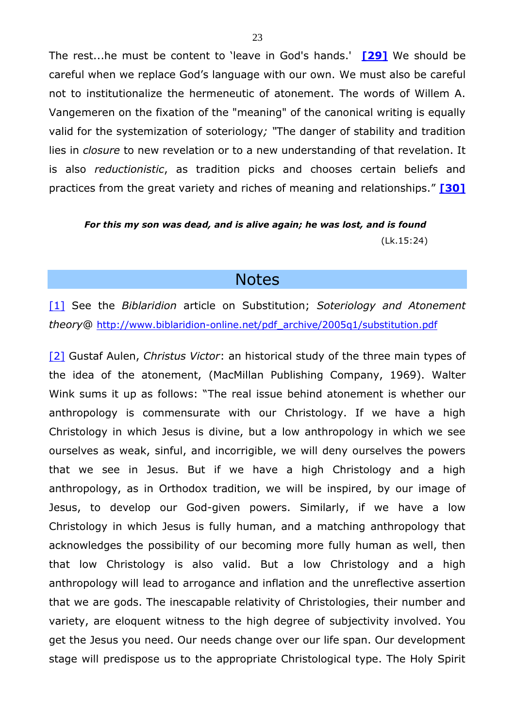The rest...he must be content to 'leave in God's hands.' **[\[29\]](#page-31-4)** We should be careful when we replace God's language with our own. We must also be careful not to institutionalize the hermeneutic of atonement. The words of Willem A. Vangemeren on the fixation of the "meaning" of the canonical writing is equally valid for the systemization of soteriology*; "*The danger of stability and tradition lies in *closure* to new revelation or to a new understanding of that revelation. It is also *reductionistic*, as tradition picks and chooses certain beliefs and practices from the great variety and riches of meaning and relationships." **[\[30\]](#page-31-5)**

#### *For this my son was dead, and is alive again; he was lost, and is found* (Lk.15:24)

#### <span id="page-22-3"></span><span id="page-22-2"></span>**Notes**

<span id="page-22-0"></span>[\[1\]](#page-0-0) See the *Biblaridion* article on Substitution; *Soteriology and Atonement theory*@ [http://www.biblaridion-online.net/pdf\\_archive/2005q1/substitution.pdf](http://www.biblaridion-online.net/pdf_archive/2005q1/substitution.pdf)

<span id="page-22-1"></span>[\[2\]](#page-0-1) Gustaf Aulen, *Christus Victor*: an historical study of the three main types of the idea of the atonement, (MacMillan Publishing Company, 1969). Walter Wink sums it up as follows: "The real issue behind atonement is whether our anthropology is commensurate with our Christology. If we have a high Christology in which Jesus is divine, but a low anthropology in which we see ourselves as weak, sinful, and incorrigible, we will deny ourselves the powers that we see in Jesus. But if we have a high Christology and a high anthropology, as in Orthodox tradition, we will be inspired, by our image of Jesus, to develop our God-given powers. Similarly, if we have a low Christology in which Jesus is fully human, and a matching anthropology that acknowledges the possibility of our becoming more fully human as well, then that low Christology is also valid. But a low Christology and a high anthropology will lead to arrogance and inflation and the unreflective assertion that we are gods. The inescapable relativity of Christologies, their number and variety, are eloquent witness to the high degree of subjectivity involved. You get the Jesus you need. Our needs change over our life span. Our development stage will predispose us to the appropriate Christological type. The Holy Spirit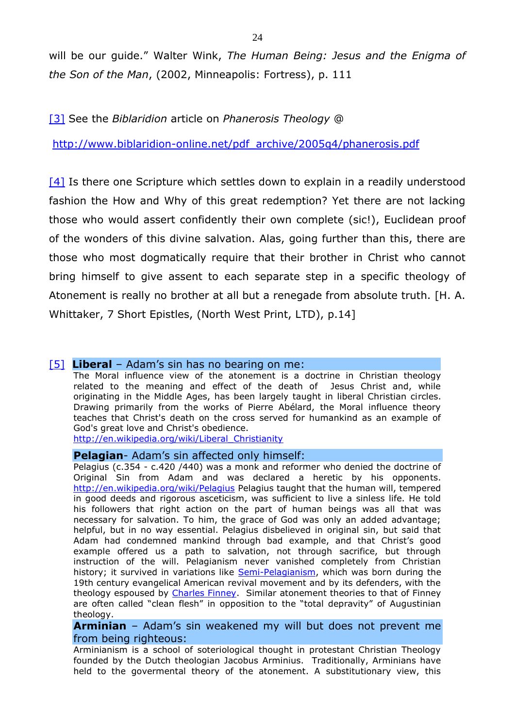will be our guide." Walter Wink, *The Human Being: Jesus and the Enigma of the Son of the Man*, (2002, Minneapolis: Fortress), p. 111

<span id="page-23-0"></span>[\[3\]](#page-0-2) See the *Biblaridion* article on *Phanerosis Theology* @

[http://www.biblaridion-online.net/pdf\\_archive/2005q4/phanerosis.pdf](http://www.biblaridion-online.net/pdf_archive/2005q4/phanerosis.pdf)

<span id="page-23-1"></span>[\[4\]](#page-0-3) Is there one Scripture which settles down to explain in a readily understood fashion the How and Why of this great redemption? Yet there are not lacking those who would assert confidently their own complete (sic!), Euclidean proof of the wonders of this divine salvation. Alas, going further than this, there are those who most dogmatically require that their brother in Christ who cannot bring himself to give assent to each separate step in a specific theology of Atonement is really no brother at all but a renegade from absolute truth. [H. A. Whittaker, 7 Short Epistles, (North West Print, LTD), p.14]

#### <span id="page-23-2"></span>**[\[5\]](#page-1-0) Liberal** – Adam's sin has no bearing on me:

The Moral influence view of the atonement is a doctrine in Christian theology related to the meaning and effect of the death of Jesus Christ and, while originating in the Middle Ages, has been largely taught in liberal Christian circles. Drawing primarily from the works of Pierre Abélard, the Moral influence theory teaches that Christ's death on the cross served for humankind as an example of God's great love and Christ's obedience.

[http://en.wikipedia.org/wiki/Liberal\\_Christianity](http://en.wikipedia.org/wiki/Liberal_Christianity)

#### **Pelagian**- Adam's sin affected only himself:

Pelagius (c.354 - c.420 /440) was a monk and reformer who denied the doctrine of Original Sin from Adam and was declared a heretic by his opponents. <http://en.wikipedia.org/wiki/Pelagius> Pelagius taught that the human will, tempered in good deeds and rigorous asceticism, was sufficient to live a sinless life. He told his followers that right action on the part of human beings was all that was necessary for salvation. To him, the grace of God was only an added advantage; helpful, but in no way essential. Pelagius disbelieved in original sin, but said that Adam had condemned mankind through bad example, and that Christ's good example offered us a path to salvation, not through sacrifice, but through instruction of the will. Pelagianism never vanished completely from Christian history; it survived in variations like [Semi-Pelagianism,](http://en.wikipedia.org/wiki/Semi-Pelagianism) which was born during the 19th century evangelical American revival movement and by its defenders, with the theology espoused by [Charles Finney.](http://en.wikipedia.org/wiki/Charles_Finney) Similar atonement theories to that of Finney are often called "clean flesh" in opposition to the "total depravity" of Augustinian theology.

**Arminian** – Adam's sin weakened my will but does not prevent me from being righteous:

Arminianism is a school of soteriological thought in protestant Christian Theology founded by the Dutch theologian Jacobus Arminius. Traditionally, Arminians have held to the govermental theory of the atonement. A substitutionary view, this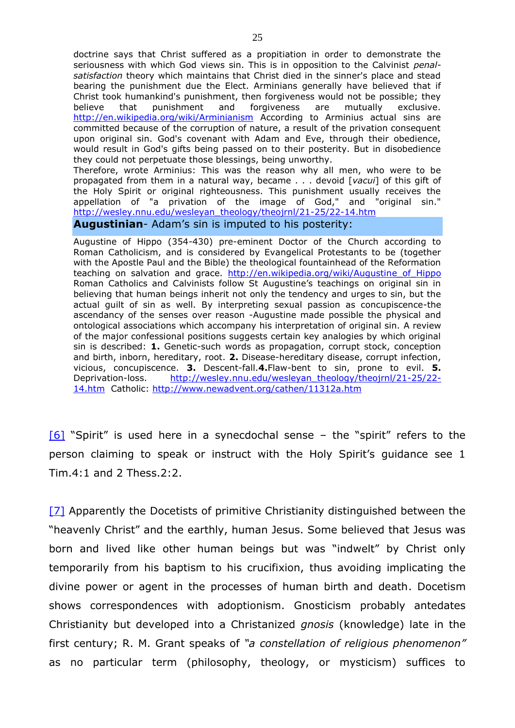doctrine says that Christ suffered as a propitiation in order to demonstrate the seriousness with which God views sin. This is in opposition to the Calvinist *penalsatisfaction* theory which maintains that Christ died in the sinner's place and stead bearing the punishment due the Elect. Arminians generally have believed that if Christ took humankind's punishment, then forgiveness would not be possible; they believe that punishment and forgiveness are mutually exclusive. <http://en.wikipedia.org/wiki/Arminianism> According to Arminius actual sins are committed because of the corruption of nature, a result of the privation consequent upon original sin. God's covenant with Adam and Eve, through their obedience, would result in God's gifts being passed on to their posterity. But in disobedience they could not perpetuate those blessings, being unworthy.

Therefore, wrote Arminius: This was the reason why all men, who were to be propagated from them in a natural way, became . . . devoid [*vacui*] of this gift of the Holy Spirit or original righteousness. This punishment usually receives the appellation of "a privation of the image of God," and "original sin." [http://wesley.nnu.edu/wesleyan\\_theology/theojrnl/21-25/22-14.htm](http://wesley.nnu.edu/wesleyan_theology/theojrnl/21-25/22-14.htm)

#### **Augustinian**- Adam's sin is imputed to his posterity:

Augustine of Hippo (354-430) pre-eminent Doctor of the Church according to Roman Catholicism, and is considered by Evangelical Protestants to be (together with the Apostle Paul and the Bible) the theological fountainhead of the Reformation teaching on salvation and grace. http://en.wikipedia.org/wiki/Augustine of Hippo Roman Catholics and Calvinists follow St Augustine's teachings on original sin in believing that human beings inherit not only the tendency and urges to sin, but the actual guilt of sin as well. By interpreting sexual passion as concupiscence-the ascendancy of the senses over reason -Augustine made possible the physical and ontological associations which accompany his interpretation of original sin. A review of the major confessional positions suggests certain key analogies by which original sin is described: **1.** Genetic-such words as propagation, corrupt stock, conception and birth, inborn, hereditary, root. **2.** Disease-hereditary disease, corrupt infection, vicious, concupiscence. **3.** Descent-fall.**4.**Flaw-bent to sin, prone to evil. **5.** Deprivation-loss. [http://wesley.nnu.edu/wesleyan\\_theology/theojrnl/21-25/22-](http://wesley.nnu.edu/wesleyan_theology/theojrnl/21-25/22-14.htm) [14.htm](http://wesley.nnu.edu/wesleyan_theology/theojrnl/21-25/22-14.htm) Catholic:<http://www.newadvent.org/cathen/11312a.htm>

<span id="page-24-0"></span> $[6]$  "Spirit" is used here in a synecdochal sense – the "spirit" refers to the person claiming to speak or instruct with the Holy Spirit's guidance see 1 Tim.4:1 and 2 Thess.2:2.

<span id="page-24-1"></span>[\[7\]](#page-2-0) Apparently the Docetists of primitive Christianity distinguished between the "heavenly Christ" and the earthly, human Jesus. Some believed that Jesus was born and lived like other human beings but was "indwelt" by Christ only temporarily from his baptism to his crucifixion, thus avoiding implicating the divine power or agent in the processes of human birth and death. Docetism shows correspondences with adoptionism. Gnosticism probably antedates Christianity but developed into a Christanized *gnosis* (knowledge) late in the first century; R. M. Grant speaks of *"a constellation of religious phenomenon"* as no particular term (philosophy, theology, or mysticism) suffices to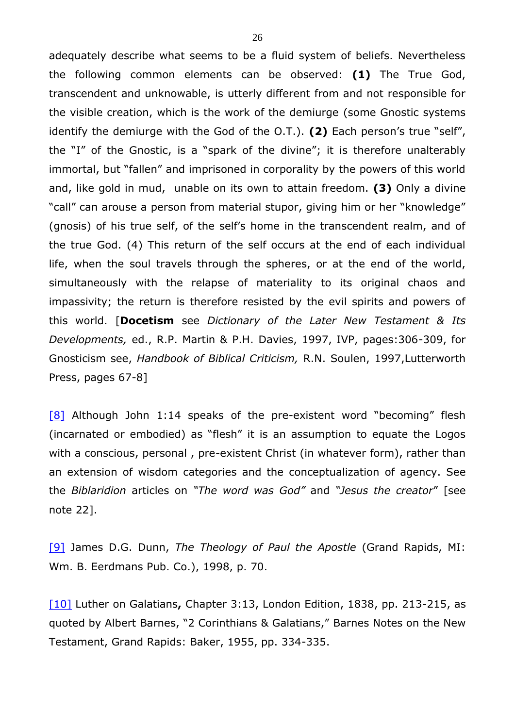adequately describe what seems to be a fluid system of beliefs. Nevertheless the following common elements can be observed: **(1)** The True God, transcendent and unknowable, is utterly different from and not responsible for the visible creation, which is the work of the demiurge (some Gnostic systems identify the demiurge with the God of the O.T.). **(2)** Each person's true "self", the "I" of the Gnostic, is a "spark of the divine"; it is therefore unalterably immortal, but "fallen" and imprisoned in corporality by the powers of this world and, like gold in mud, unable on its own to attain freedom. **(3)** Only a divine "call" can arouse a person from material stupor, giving him or her "knowledge" (gnosis) of his true self, of the self's home in the transcendent realm, and of the true God. (4) This return of the self occurs at the end of each individual life, when the soul travels through the spheres, or at the end of the world, simultaneously with the relapse of materiality to its original chaos and impassivity; the return is therefore resisted by the evil spirits and powers of this world. [**Docetism** see *Dictionary of the Later New Testament & Its Developments,* ed., R.P. Martin & P.H. Davies, 1997, IVP, pages:306-309, for Gnosticism see, *Handbook of Biblical Criticism,* R.N. Soulen, 1997,Lutterworth Press, pages 67-8]

<span id="page-25-0"></span>[\[8\]](#page-2-1) Although John 1:14 speaks of the pre-existent word "becoming" flesh (incarnated or embodied) as "flesh" it is an assumption to equate the Logos with a conscious, personal , pre-existent Christ (in whatever form), rather than an extension of wisdom categories and the conceptualization of agency. See the *Biblaridion* articles on *"The word was God"* and *"Jesus the creator*" [see note 22].

<span id="page-25-1"></span>[\[9\]](#page-2-2) James D.G. Dunn, *The Theology of Paul the Apostle* (Grand Rapids, MI: Wm. B. Eerdmans Pub. Co.), 1998, p. 70.

<span id="page-25-2"></span>[\[10\]](#page-3-0) Luther on Galatians**,** Chapter 3:13, London Edition, 1838, pp. 213-215, as quoted by Albert Barnes, "2 Corinthians & Galatians," Barnes Notes on the New Testament, Grand Rapids: Baker, 1955, pp. 334-335.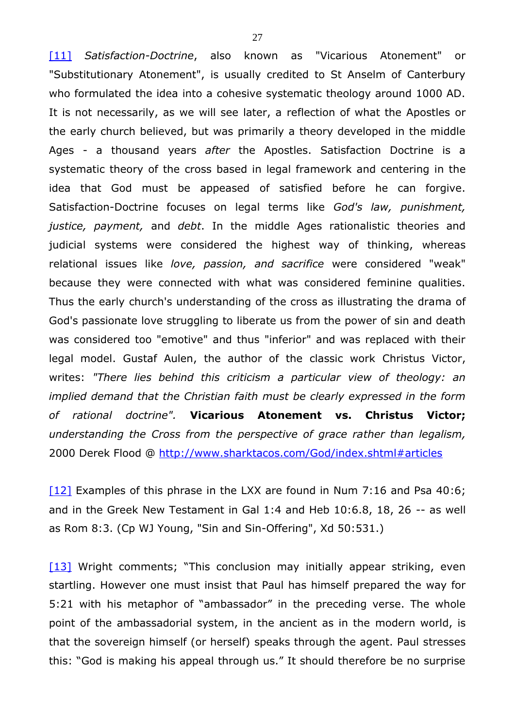<span id="page-26-0"></span>[\[11\]](#page-4-0) *Satisfaction-Doctrine*, also known as "Vicarious Atonement" or "Substitutionary Atonement", is usually credited to St Anselm of Canterbury who formulated the idea into a cohesive systematic theology around 1000 AD. It is not necessarily, as we will see later, a reflection of what the Apostles or the early church believed, but was primarily a theory developed in the middle Ages - a thousand years *after* the Apostles. Satisfaction Doctrine is a systematic theory of the cross based in legal framework and centering in the idea that God must be appeased of satisfied before he can forgive. Satisfaction-Doctrine focuses on legal terms like *God's law, punishment, justice, payment,* and *debt*. In the middle Ages rationalistic theories and judicial systems were considered the highest way of thinking, whereas relational issues like *love, passion, and sacrifice* were considered "weak" because they were connected with what was considered feminine qualities. Thus the early church's understanding of the cross as illustrating the drama of God's passionate love struggling to liberate us from the power of sin and death was considered too "emotive" and thus "inferior" and was replaced with their legal model. Gustaf Aulen, the author of the classic work Christus Victor, writes: *"There lies behind this criticism a particular view of theology: an implied demand that the Christian faith must be clearly expressed in the form of rational doctrine".* **Vicarious Atonement vs. Christus Victor;** *understanding the Cross from the perspective of grace rather than legalism,*  2000 Derek Flood @<http://www.sharktacos.com/God/index.shtml#articles>

<span id="page-26-1"></span>[\[12\]](#page-4-1) Examples of this phrase in the LXX are found in Num 7:16 and Psa 40:6; and in the Greek New Testament in Gal 1:4 and Heb 10:6.8, 18, 26 -- as well as Rom 8:3. (Cp WJ Young, "Sin and Sin-Offering", Xd 50:531.)

<span id="page-26-2"></span>[\[13\]](#page-5-0) Wright comments; "This conclusion may initially appear striking, even startling. However one must insist that Paul has himself prepared the way for 5:21 with his metaphor of "ambassador" in the preceding verse. The whole point of the ambassadorial system, in the ancient as in the modern world, is that the sovereign himself (or herself) speaks through the agent. Paul stresses this: "God is making his appeal through us." It should therefore be no surprise

27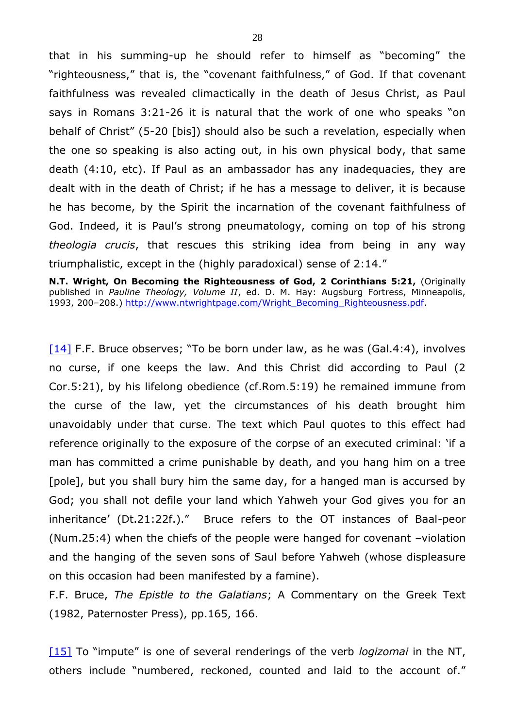that in his summing-up he should refer to himself as "becoming" the "righteousness," that is, the "covenant faithfulness," of God. If that covenant faithfulness was revealed climactically in the death of Jesus Christ, as Paul says in Romans 3:21-26 it is natural that the work of one who speaks "on behalf of Christ" (5-20 [bis]) should also be such a revelation, especially when the one so speaking is also acting out, in his own physical body, that same death (4:10, etc). If Paul as an ambassador has any inadequacies, they are dealt with in the death of Christ; if he has a message to deliver, it is because he has become, by the Spirit the incarnation of the covenant faithfulness of God. Indeed, it is Paul's strong pneumatology, coming on top of his strong *theologia crucis*, that rescues this striking idea from being in any way triumphalistic, except in the (highly paradoxical) sense of 2:14."

**N.T. Wright, On Becoming the Righteousness of God, 2 Corinthians 5:21,** (Originally published in *Pauline Theology, Volume II*, ed. D. M. Hay: Augsburg Fortress, Minneapolis, 1993, 200–208.) [http://www.ntwrightpage.com/Wright\\_Becoming\\_Righteousness.pdf.](http://www.ntwrightpage.com/Wright_Becoming_Righteousness.pdf)

<span id="page-27-0"></span> $[14]$  F.F. Bruce observes; "To be born under law, as he was (Gal.4:4), involves no curse, if one keeps the law. And this Christ did according to Paul (2 Cor.5:21), by his lifelong obedience (cf.Rom.5:19) he remained immune from the curse of the law, yet the circumstances of his death brought him unavoidably under that curse. The text which Paul quotes to this effect had reference originally to the exposure of the corpse of an executed criminal: 'if a man has committed a crime punishable by death, and you hang him on a tree [pole], but you shall bury him the same day, for a hanged man is accursed by God; you shall not defile your land which Yahweh your God gives you for an inheritance' (Dt.21:22f.)." Bruce refers to the OT instances of Baal-peor (Num.25:4) when the chiefs of the people were hanged for covenant –violation and the hanging of the seven sons of Saul before Yahweh (whose displeasure on this occasion had been manifested by a famine).

F.F. Bruce, *The Epistle to the Galatians*; A Commentary on the Greek Text (1982, Paternoster Press), pp.165, 166.

<span id="page-27-1"></span>[\[15\]](#page-5-2) To "impute" is one of several renderings of the verb *logizomai* in the NT, others include "numbered, reckoned, counted and laid to the account of."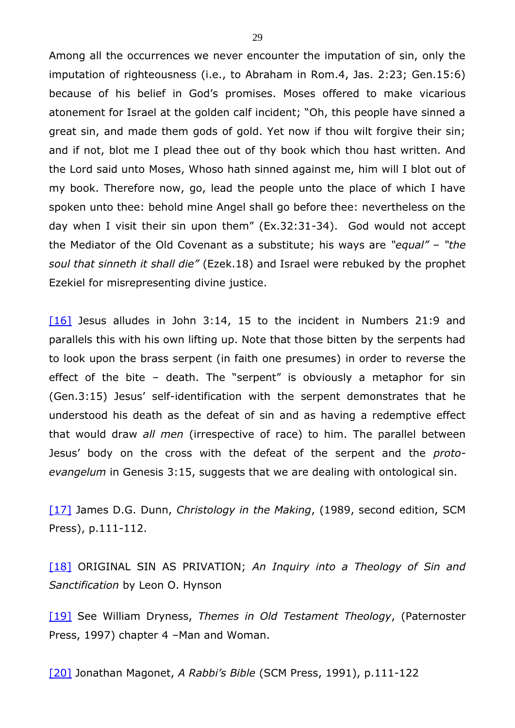Among all the occurrences we never encounter the imputation of sin, only the imputation of righteousness (i.e., to Abraham in Rom.4, Jas. 2:23; Gen.15:6) because of his belief in God's promises. Moses offered to make vicarious atonement for Israel at the golden calf incident; "Oh, this people have sinned a great sin, and made them gods of gold. Yet now if thou wilt forgive their sin; and if not, blot me I plead thee out of thy book which thou hast written. And the Lord said unto Moses, Whoso hath sinned against me, him will I blot out of my book. Therefore now, go, lead the people unto the place of which I have spoken unto thee: behold mine Angel shall go before thee: nevertheless on the day when I visit their sin upon them" (Ex.32:31-34). God would not accept the Mediator of the Old Covenant as a substitute; his ways are *"equal"* – *"the soul that sinneth it shall die"* (Ezek.18) and Israel were rebuked by the prophet Ezekiel for misrepresenting divine justice.

<span id="page-28-0"></span>[\[16\]](#page-5-3) Jesus alludes in John 3:14, 15 to the incident in Numbers 21:9 and parallels this with his own lifting up. Note that those bitten by the serpents had to look upon the brass serpent (in faith one presumes) in order to reverse the effect of the bite – death. The "serpent" is obviously a metaphor for sin (Gen.3:15) Jesus' self-identification with the serpent demonstrates that he understood his death as the defeat of sin and as having a redemptive effect that would draw *all men* (irrespective of race) to him. The parallel between Jesus' body on the cross with the defeat of the serpent and the *protoevangelum* in Genesis 3:15, suggests that we are dealing with ontological sin.

<span id="page-28-1"></span>[\[17\]](#page-9-0) James D.G. Dunn, *Christology in the Making*, (1989, second edition, SCM Press), p.111-112.

<span id="page-28-2"></span>[\[18\]](#page-9-1) ORIGINAL SIN AS PRIVATION; *An Inquiry into a Theology of Sin and Sanctification* by Leon O. Hynson

<span id="page-28-3"></span>[\[19\]](#page-10-0) See William Dryness, *Themes in Old Testament Theology*, (Paternoster Press, 1997) chapter 4 –Man and Woman.

<span id="page-28-4"></span>[\[20\]](#page-14-0) Jonathan Magonet, *A Rabbi's Bible* (SCM Press, 1991), p.111-122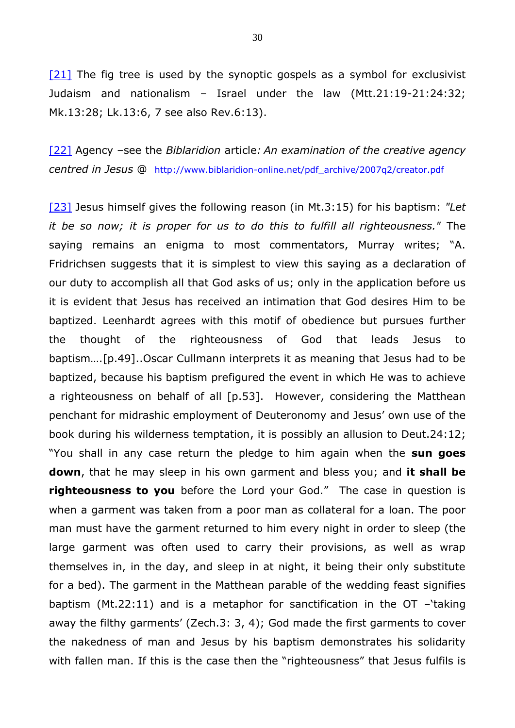<span id="page-29-0"></span> $[21]$  The fig tree is used by the synoptic gospels as a symbol for exclusivist Judaism and nationalism – Israel under the law (Mtt.21:19-21:24:32; Mk.13:28; Lk.13:6, 7 see also Rev.6:13).

<span id="page-29-1"></span>[\[22\]](#page-15-0) Agency –see the *Biblaridion* article*: An examination of the creative agency centred in Jesus* @ [http://www.biblaridion-online.net/pdf\\_archive/2007q2/creator.pdf](http://www.biblaridion-online.net/pdf_archive/2007q2/creator.pdf)

<span id="page-29-2"></span>[\[23\]](#page-15-1) Jesus himself gives the following reason (in Mt.3:15) for his baptism: *"Let it be so now; it is proper for us to do this to fulfill all righteousness."* The saying remains an enigma to most commentators, Murray writes; "A. Fridrichsen suggests that it is simplest to view this saying as a declaration of our duty to accomplish all that God asks of us; only in the application before us it is evident that Jesus has received an intimation that God desires Him to be baptized. Leenhardt agrees with this motif of obedience but pursues further the thought of the righteousness of God that leads Jesus to baptism….[p.49]..Oscar Cullmann interprets it as meaning that Jesus had to be baptized, because his baptism prefigured the event in which He was to achieve a righteousness on behalf of all [p.53]. However, considering the Matthean penchant for midrashic employment of Deuteronomy and Jesus' own use of the book during his wilderness temptation, it is possibly an allusion to Deut.24:12; "You shall in any case return the pledge to him again when the **sun goes down**, that he may sleep in his own garment and bless you; and **it shall be righteousness to you** before the Lord your God." The case in question is when a garment was taken from a poor man as collateral for a loan. The poor man must have the garment returned to him every night in order to sleep (the large garment was often used to carry their provisions, as well as wrap themselves in, in the day, and sleep in at night, it being their only substitute for a bed). The garment in the Matthean parable of the wedding feast signifies baptism (Mt.22:11) and is a metaphor for sanctification in the OT –'taking away the filthy garments' (Zech.3: 3, 4); God made the first garments to cover the nakedness of man and Jesus by his baptism demonstrates his solidarity with fallen man. If this is the case then the "righteousness" that Jesus fulfils is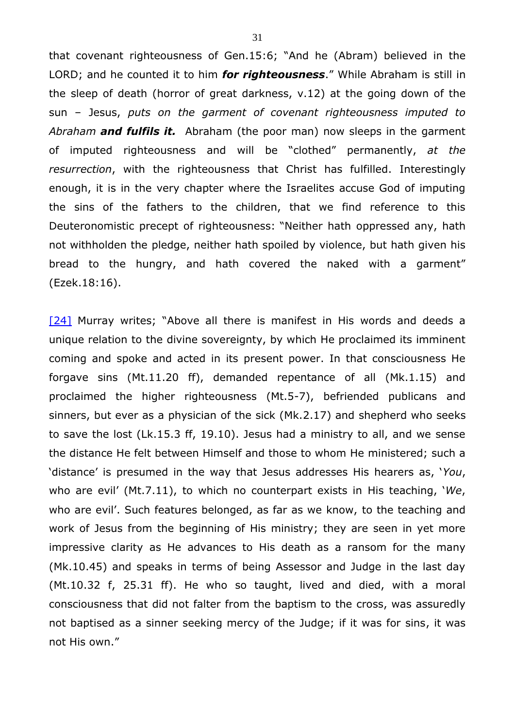that covenant righteousness of Gen.15:6; "And he (Abram) believed in the LORD; and he counted it to him *for righteousness*." While Abraham is still in the sleep of death (horror of great darkness, v.12) at the going down of the sun – Jesus, *puts on the garment of covenant righteousness imputed to Abraham and fulfils it.* Abraham (the poor man) now sleeps in the garment of imputed righteousness and will be "clothed" permanently, *at the resurrection*, with the righteousness that Christ has fulfilled. Interestingly enough, it is in the very chapter where the Israelites accuse God of imputing the sins of the fathers to the children, that we find reference to this Deuteronomistic precept of righteousness: "Neither hath oppressed any, hath not withholden the pledge, neither hath spoiled by violence, but hath given his bread to the hungry, and hath covered the naked with a garment" (Ezek.18:16).

<span id="page-30-0"></span>[\[24\]](#page-15-2) Murray writes; "Above all there is manifest in His words and deeds a unique relation to the divine sovereignty, by which He proclaimed its imminent coming and spoke and acted in its present power. In that consciousness He forgave sins (Mt.11.20 ff), demanded repentance of all (Mk.1.15) and proclaimed the higher righteousness (Mt.5-7), befriended publicans and sinners, but ever as a physician of the sick (Mk.2.17) and shepherd who seeks to save the lost (Lk.15.3 ff, 19.10). Jesus had a ministry to all, and we sense the distance He felt between Himself and those to whom He ministered; such a 'distance' is presumed in the way that Jesus addresses His hearers as, '*You*, who are evil' (Mt.7.11), to which no counterpart exists in His teaching, '*We*, who are evil'. Such features belonged, as far as we know, to the teaching and work of Jesus from the beginning of His ministry; they are seen in yet more impressive clarity as He advances to His death as a ransom for the many (Mk.10.45) and speaks in terms of being Assessor and Judge in the last day (Mt.10.32 f, 25.31 ff). He who so taught, lived and died, with a moral consciousness that did not falter from the baptism to the cross, was assuredly not baptised as a sinner seeking mercy of the Judge; if it was for sins, it was not His own."